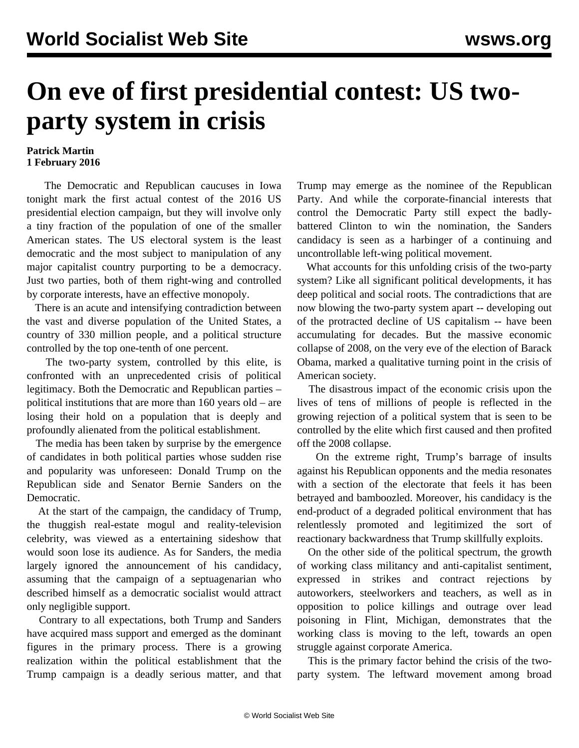## **On eve of first presidential contest: US twoparty system in crisis**

## **Patrick Martin 1 February 2016**

 The Democratic and Republican caucuses in Iowa tonight mark the first actual contest of the 2016 US presidential election campaign, but they will involve only a tiny fraction of the population of one of the smaller American states. The US electoral system is the least democratic and the most subject to manipulation of any major capitalist country purporting to be a democracy. Just two parties, both of them right-wing and controlled by corporate interests, have an effective monopoly.

 There is an acute and intensifying contradiction between the vast and diverse population of the United States, a country of 330 million people, and a political structure controlled by the top one-tenth of one percent.

 The two-party system, controlled by this elite, is confronted with an unprecedented crisis of political legitimacy. Both the Democratic and Republican parties – political institutions that are more than 160 years old – are losing their hold on a population that is deeply and profoundly alienated from the political establishment.

 The media has been taken by surprise by the emergence of candidates in both political parties whose sudden rise and popularity was unforeseen: Donald Trump on the Republican side and Senator Bernie Sanders on the Democratic.

 At the start of the campaign, the candidacy of Trump, the thuggish real-estate mogul and reality-television celebrity, was viewed as a entertaining sideshow that would soon lose its audience. As for Sanders, the media largely ignored the announcement of his candidacy, assuming that the campaign of a septuagenarian who described himself as a democratic socialist would attract only negligible support.

 Contrary to all expectations, both Trump and Sanders have acquired mass support and emerged as the dominant figures in the primary process. There is a growing realization within the political establishment that the Trump campaign is a deadly serious matter, and that Trump may emerge as the nominee of the Republican Party. And while the corporate-financial interests that control the Democratic Party still expect the badlybattered Clinton to win the nomination, the Sanders candidacy is seen as a harbinger of a continuing and uncontrollable left-wing political movement.

 What accounts for this unfolding crisis of the two-party system? Like all significant political developments, it has deep political and social roots. The contradictions that are now blowing the two-party system apart -- developing out of the protracted decline of US capitalism -- have been accumulating for decades. But the massive economic collapse of 2008, on the very eve of the election of Barack Obama, marked a qualitative turning point in the crisis of American society.

 The disastrous impact of the economic crisis upon the lives of tens of millions of people is reflected in the growing rejection of a political system that is seen to be controlled by the elite which first caused and then profited off the 2008 collapse.

 On the extreme right, Trump's barrage of insults against his Republican opponents and the media resonates with a section of the electorate that feels it has been betrayed and bamboozled. Moreover, his candidacy is the end-product of a degraded political environment that has relentlessly promoted and legitimized the sort of reactionary backwardness that Trump skillfully exploits.

 On the other side of the political spectrum, the growth of working class militancy and anti-capitalist sentiment, expressed in strikes and contract rejections by autoworkers, steelworkers and teachers, as well as in opposition to police killings and outrage over lead poisoning in Flint, Michigan, demonstrates that the working class is moving to the left, towards an open struggle against corporate America.

 This is the primary factor behind the crisis of the twoparty system. The leftward movement among broad